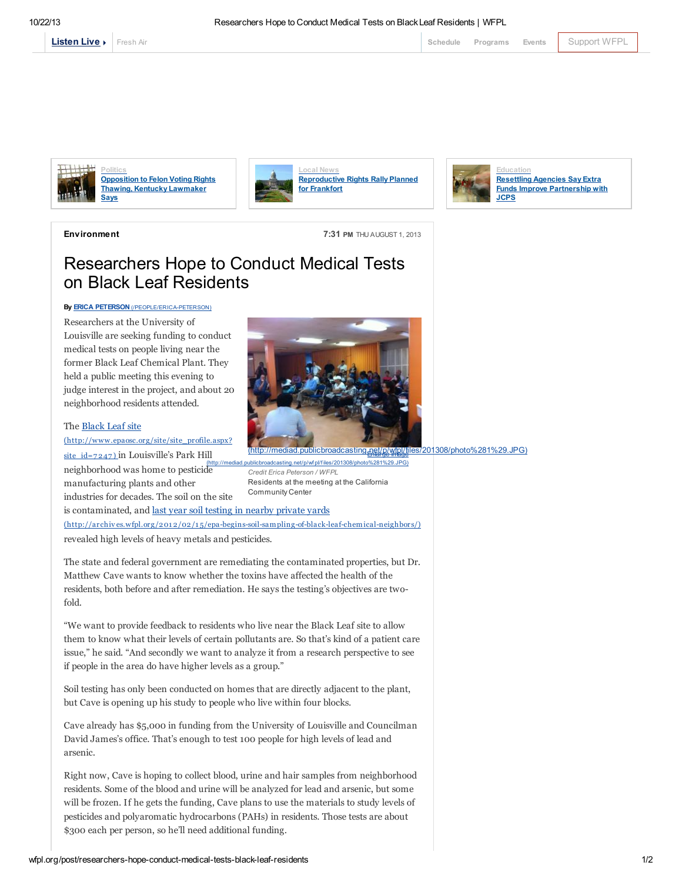

[Fresh](http://local.wfpl.org/stream.html) Air [Schedule](http://www.publicbroadcasting.net/wfpl/guide.guidemain) [Programs](http://wfpl.org/programs) [Events](http://www.publicbroadcasting.net/wfpl/events.eventsmain) [Support](https://louisvillepublicmedia.webconnex.com/contribute) WFPL



**Politics** [Opposition](http://wfpl.org/post/opposition-felon-voting-rights-thawing-kentucky-lawmaker-says) to Felon Voting Rights Thawing, Kentucky Lawmaker Says



[Reproductive](http://wfpl.org/post/reproductive-rights-rally-planned-frankfort) Rights Rally Planned for Frankfort



Environment 7:31 PM THU AUGUST 1, 2013

## Researchers Hope to Conduct Medical Tests on Black Leaf Residents

## By **ERICA PETERSON** [\(/PEOPLE/ERICA-PETERSON\)](http://wfpl.org/people/erica-peterson)

Researchers at the University of Louisville are seeking funding to conduct medical tests on people living near the former Black Leaf Chemical Plant. They held a public meeting this evening to judge interest in the project, and about 20 neighborhood residents attended.

## The Black Leaf site

[\(http://www.epaosc.org/site/site\\_profile.aspx?](http://www.epaosc.org/site/site_profile.aspx?site_id=7247) site  $id=7247$  in Louisville's Park Hill neighborhood was home to pesticide manufacturing plants and other industries for decades. The soil on the site



sting.net/p/wf pl/f iles/201 Credit Erica Peterson / WFPL Residents at the meeting at the California Community Center

is contaminated, and last year soil testing in nearby private yards (http://archives.wfpl.org/201 2/02/1 [5/epa-begins-soil-sampling-of-black-leaf-chemical-neighbors/\)](http://archives.wfpl.org/2012/02/15/epa-begins-soil-sampling-of-black-leaf-chemical-neighbors/) revealed high levels of heavy metals and pesticides.

The state and federal government are remediating the contaminated properties, but Dr. Matthew Cave wants to know whether the toxins have affected the health of the residents, both before and after remediation. He says the testing's objectives are twofold.

"We want to provide feedback to residents who live near the Black Leaf site to allow them to know what their levels of certain pollutants are. So that's kind of a patient care issue," he said. "And secondly we want to analyze it from a research perspective to see if people in the area do have higher levels as a group."

Soil testing has only been conducted on homes that are directly adjacent to the plant, but Cave is opening up his study to people who live within four blocks.

Cave already has \$5,000 in funding from the University of Louisville and Councilman David James's office. That's enough to test 100 people for high levels of lead and arsenic.

Right now, Cave is hoping to collect blood, urine and hair samples from neighborhood residents. Some of the blood and urine will be analyzed for lead and arsenic, but some will be frozen. If he gets the funding, Cave plans to use the materials to study levels of pesticides and polyaromatic hydrocarbons (PAHs) in residents. Those tests are about \$300 each per person, so he'll need additional funding.